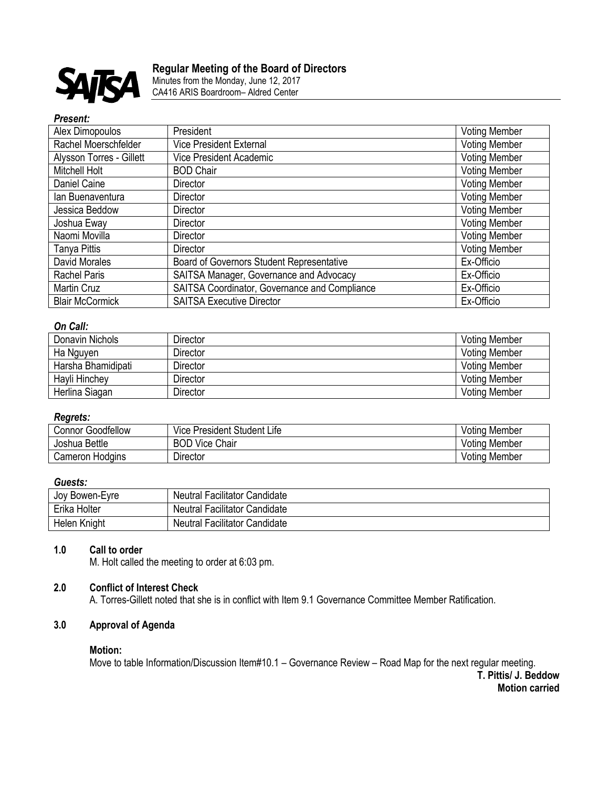

# **Regular Meeting of the Board of Directors**

Minutes from the Monday, June 12, 2017 CA416 ARIS Boardroom– Aldred Center

#### *Present:*

| Alex Dimopoulos          | President                                     | <b>Voting Member</b> |
|--------------------------|-----------------------------------------------|----------------------|
| Rachel Moerschfelder     | <b>Vice President External</b>                | <b>Voting Member</b> |
| Alysson Torres - Gillett | Vice President Academic                       | <b>Voting Member</b> |
| Mitchell Holt            | <b>BOD Chair</b>                              | <b>Voting Member</b> |
| Daniel Caine             | Director                                      | <b>Voting Member</b> |
| lan Buenaventura         | <b>Director</b>                               | <b>Voting Member</b> |
| Jessica Beddow           | Director                                      | <b>Voting Member</b> |
| Joshua Eway              | <b>Director</b>                               | <b>Voting Member</b> |
| Naomi Movilla            | <b>Director</b>                               | <b>Voting Member</b> |
| Tanya Pittis             | Director                                      | <b>Voting Member</b> |
| David Morales            | Board of Governors Student Representative     | Ex-Officio           |
| <b>Rachel Paris</b>      | SAITSA Manager, Governance and Advocacy       | Ex-Officio           |
| Martin Cruz              | SAITSA Coordinator, Governance and Compliance | Ex-Officio           |
| <b>Blair McCormick</b>   | <b>SAITSA Executive Director</b>              | Ex-Officio           |

### *On Call:*

| Donavin Nichols    | Director | <b>Voting Member</b> |
|--------------------|----------|----------------------|
| Ha Nguyen          | Director | <b>Voting Member</b> |
| Harsha Bhamidipati | Director | <b>Voting Member</b> |
| Hayli Hinchey      | Director | <b>Voting Member</b> |
| Herlina Siagan     | Director | <b>Voting Member</b> |

#### *Regrets:*

| Goodfellow<br>شonnor. | $\cdots$<br>$\tilde{\phantom{a}}$<br>Student<br>Life<br>President<br>Vice | Votina Member      |
|-----------------------|---------------------------------------------------------------------------|--------------------|
| Bettle<br>Joshua      | Vice Chair<br>וחח<br>DUU                                                  | . Member<br>Votina |
| Cameron<br>Hodains    | Director                                                                  | Voting Member      |

#### *Guests:*

| Joy Bowen-Eyre | Neutral Facilitator Candidate        |
|----------------|--------------------------------------|
| Erika Holter   | <b>Neutral Facilitator Candidate</b> |
| Helen Knight   | <b>Neutral Facilitator Candidate</b> |

### **1.0 Call to order**

M. Holt called the meeting to order at 6:03 pm.

# **2.0 Conflict of Interest Check**

A. Torres-Gillett noted that she is in conflict with Item 9.1 Governance Committee Member Ratification.

# **3.0 Approval of Agenda**

#### **Motion:**

Move to table Information/Discussion Item#10.1 – Governance Review – Road Map for the next regular meeting.

**T. Pittis/ J. Beddow Motion carried**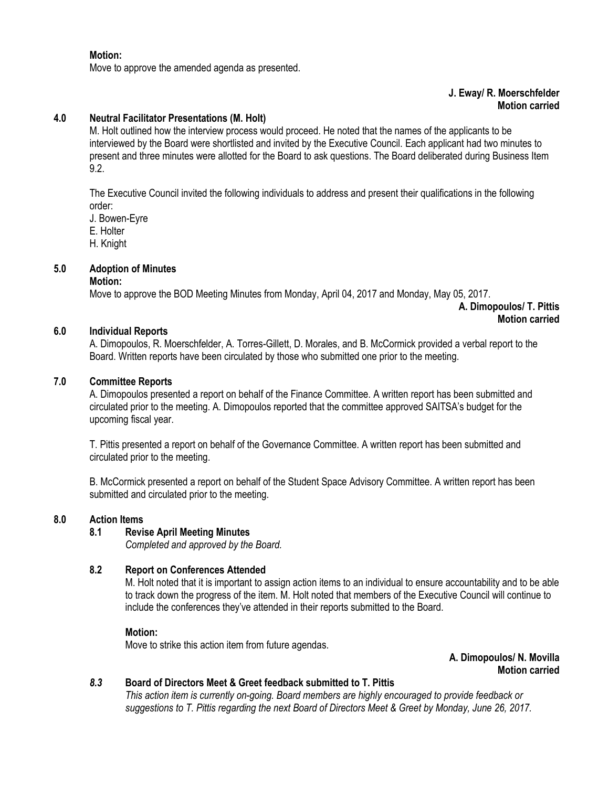#### **Motion:**

Move to approve the amended agenda as presented.

### **J. Eway/ R. Moerschfelder Motion carried**

### **4.0 Neutral Facilitator Presentations (M. Holt)**

M. Holt outlined how the interview process would proceed. He noted that the names of the applicants to be interviewed by the Board were shortlisted and invited by the Executive Council. Each applicant had two minutes to present and three minutes were allotted for the Board to ask questions. The Board deliberated during Business Item 9.2.

The Executive Council invited the following individuals to address and present their qualifications in the following order:

J. Bowen-Eyre

- E. Holter
- H. Knight

### **5.0 Adoption of Minutes**

#### **Motion:**

Move to approve the BOD Meeting Minutes from Monday, April 04, 2017 and Monday, May 05, 2017.

**A. Dimopoulos/ T. Pittis Motion carried**

#### **6.0 Individual Reports**

A. Dimopoulos, R. Moerschfelder, A. Torres-Gillett, D. Morales, and B. McCormick provided a verbal report to the Board. Written reports have been circulated by those who submitted one prior to the meeting.

#### **7.0 Committee Reports**

A. Dimopoulos presented a report on behalf of the Finance Committee. A written report has been submitted and circulated prior to the meeting. A. Dimopoulos reported that the committee approved SAITSA's budget for the upcoming fiscal year.

T. Pittis presented a report on behalf of the Governance Committee. A written report has been submitted and circulated prior to the meeting.

B. McCormick presented a report on behalf of the Student Space Advisory Committee. A written report has been submitted and circulated prior to the meeting.

### **8.0 Action Items**

### **8.1 Revise April Meeting Minutes**

*Completed and approved by the Board.* 

### **8.2 Report on Conferences Attended**

M. Holt noted that it is important to assign action items to an individual to ensure accountability and to be able to track down the progress of the item. M. Holt noted that members of the Executive Council will continue to include the conferences they've attended in their reports submitted to the Board.

#### **Motion:**

Move to strike this action item from future agendas.

**A. Dimopoulos/ N. Movilla Motion carried**

### *8.3* **Board of Directors Meet & Greet feedback submitted to T. Pittis**

*This action item is currently on-going. Board members are highly encouraged to provide feedback or suggestions to T. Pittis regarding the next Board of Directors Meet & Greet by Monday, June 26, 2017.*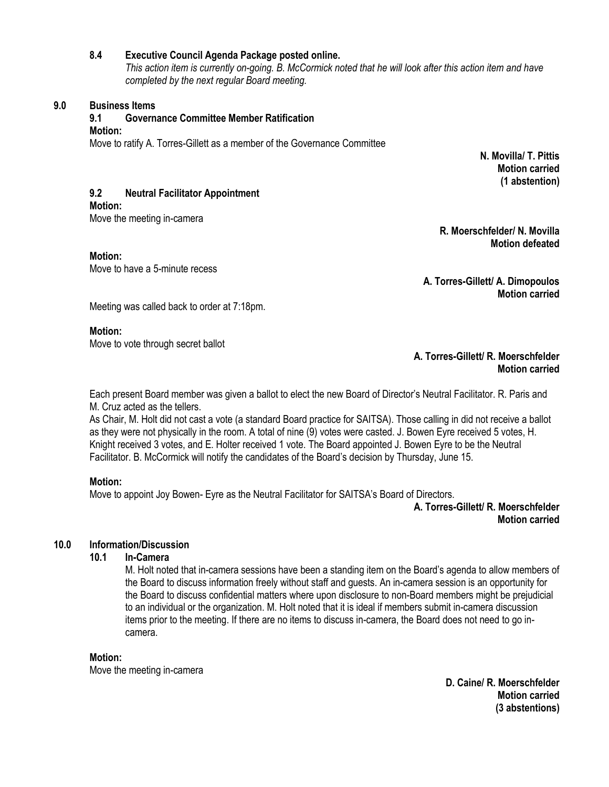## **8.4 Executive Council Agenda Package posted online.**

*This action item is currently on-going. B. McCormick noted that he will look after this action item and have completed by the next regular Board meeting.* 

### **9.0 Business Items**

### **9.1 Governance Committee Member Ratification**

#### **Motion:**

Move to ratify A. Torres-Gillett as a member of the Governance Committee

**N. Movilla/ T. Pittis Motion carried (1 abstention)**

# **9.2 Neutral Facilitator Appointment**

**Motion:**

Move the meeting in-camera

**Motion:**

Move to have a 5-minute recess

**R. Moerschfelder/ N. Movilla Motion defeated**

**A. Torres-Gillett/ A. Dimopoulos Motion carried**

Meeting was called back to order at 7:18pm.

### **Motion:**

Move to vote through secret ballot

### **A. Torres-Gillett/ R. Moerschfelder Motion carried**

Each present Board member was given a ballot to elect the new Board of Director's Neutral Facilitator. R. Paris and M. Cruz acted as the tellers.

As Chair, M. Holt did not cast a vote (a standard Board practice for SAITSA). Those calling in did not receive a ballot as they were not physically in the room. A total of nine (9) votes were casted. J. Bowen Eyre received 5 votes, H. Knight received 3 votes, and E. Holter received 1 vote. The Board appointed J. Bowen Eyre to be the Neutral Facilitator. B. McCormick will notify the candidates of the Board's decision by Thursday, June 15.

# **Motion:**

Move to appoint Joy Bowen- Eyre as the Neutral Facilitator for SAITSA's Board of Directors.

**A. Torres-Gillett/ R. Moerschfelder Motion carried**

# **10.0 Information/Discussion**

# **10.1 In-Camera**

M. Holt noted that in-camera sessions have been a standing item on the Board's agenda to allow members of the Board to discuss information freely without staff and guests. An in-camera session is an opportunity for the Board to discuss confidential matters where upon disclosure to non-Board members might be prejudicial to an individual or the organization. M. Holt noted that it is ideal if members submit in-camera discussion items prior to the meeting. If there are no items to discuss in-camera, the Board does not need to go incamera.

### **Motion:**

Move the meeting in-camera

**D. Caine/ R. Moerschfelder Motion carried (3 abstentions)**